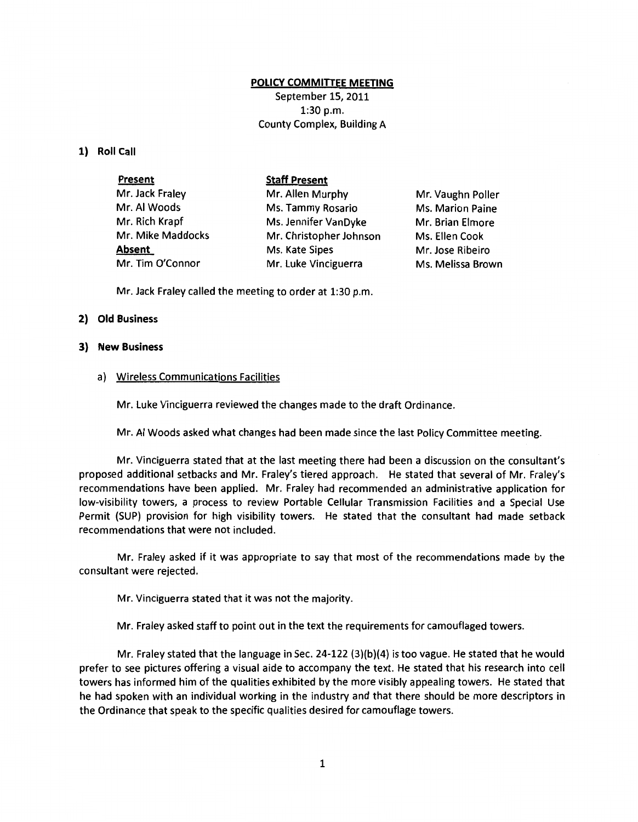# **POLICY COMMITIEE MEETING**

September 15, 2011 1:30 p.m. County Complex, Building A

### **1) Roll Call**

| <b>Present</b>    | <b>Staff Present</b>    |                   |
|-------------------|-------------------------|-------------------|
| Mr. Jack Fraley   | Mr. Allen Murphy        | Mr. Vaughn Poller |
| Mr. Al Woods      | Ms. Tammy Rosario       | Ms. Marion Paine  |
| Mr. Rich Krapf    | Ms. Jennifer VanDyke    | Mr. Brian Elmore  |
| Mr. Mike Maddocks | Mr. Christopher Johnson | Ms. Ellen Cook    |
| <b>Absent</b>     | Ms. Kate Sipes          | Mr. Jose Ribeiro  |
| Mr. Tim O'Connor  | Mr. Luke Vinciguerra    | Ms. Melissa Brown |

Mr. Jack Fraley called the meeting to order at 1:30 p.m.

### **2) Old Business**

### **3) New Business**

### a) Wireless Communications Facilities

Mr. Luke Vinciguerra reviewed the changes made to the draft Ordinance.

Mr. AI Woods asked what changes had been made since the last Policy Committee meeting.

Mr. Vinciguerra stated that at the last meeting there had been a discussion on the consultant's proposed additional setbacks and Mr. Fraley's tiered approach. He stated that several of Mr. Fraley's recommendations have been applied. Mr. Fraley had recommended an administrative application for low-visibility towers, a process to review Portable Cellular Transmission Facilities and a Special Use Permit (SUP) provision for high visibility towers. He stated that the consultant had made setback recommendations that were not included.

Mr. Fraley asked if it was appropriate to say that most of the recommendations made by the consultant were rejected.

Mr. Vinciguerra stated that it was not the majority.

Mr. Fraley asked staff to point out in the text the requirements for camouflaged towers.

Mr. Fraley stated that the language in Sec. 24-122 (3)(b)(4) is too vague. He stated that he would prefer to see pictures offering a visual aide to accompany the text. He stated that his research into cell towers has informed him of the qualities exhibited by the more visibly appealing towers. He stated that he had spoken with an individual working in the industry and that there should be more descriptors in the Ordinance that speak to the specific qualities desired for camouflage towers.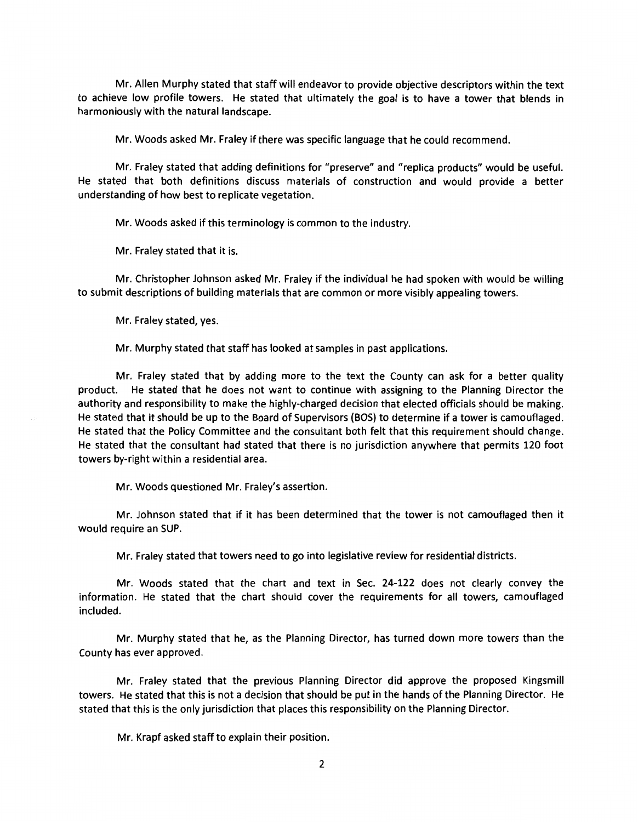Mr. Allen Murphy stated that staff will endeavor to provide objective descriptors within the text to achieve low profile towers. He stated that ultimately the goal is to have a tower that blends in harmoniously with the natural landscape.

Mr. Woods asked Mr. Fraley if there was specific language that he could recommend.

Mr. Fraley stated that adding definitions for "preserve" and "replica products" would be useful. He stated that both definitions discuss materials of construction and would provide a better understanding of how best to replicate vegetation.

Mr. Woods asked if this terminology is common to the industry.

Mr. Fraley stated that it is.

Mr. Christopher Johnson asked Mr. Fraley if the individual he had spoken with would be willing to submit descriptions of building materials that are common or more visibly appealing towers.

Mr. Fraley stated, yes.

Mr. Murphy stated that staff has looked at samples in past applications.

Mr. Fraley stated that by adding more to the text the County can ask for a better quality product. He stated that he does not want to continue with assigning to the Planning Director the authority and responsibility to make the highly-charged decision that elected officials should be making. He stated that it should be up to the Board of Supervisors (BOS) to determine if a tower is camouflaged. He stated that the Policy Committee and the consultant both felt that this requirement should change. He stated that the consultant had stated that there is no jurisdiction anywhere that permits 120 foot towers by-right within a residential area.

Mr. Woods questioned Mr. Fraley's assertion.

Mr. Johnson stated that if it has been determined that the tower is not camouflaged then it would require an SUP.

Mr. Fraley stated that towers need to go into legislative review for residential districts.

Mr. Woods stated that the chart and text in Sec. 24-122 does not clearly convey the information. He stated that the chart should cover the requirements for all towers, camouflaged included.

Mr. Murphy stated that he, as the Planning Director, has turned down more towers than the County has ever approved.

Mr. Fraley stated that the previous Planning Director did approve the proposed Kingsmill towers. He stated that this is not a decision that should be put in the hands of the Planning Director. He stated that this is the only jurisdiction that places this responsibility on the Planning Director.

Mr. Krapf asked staff to explain their position.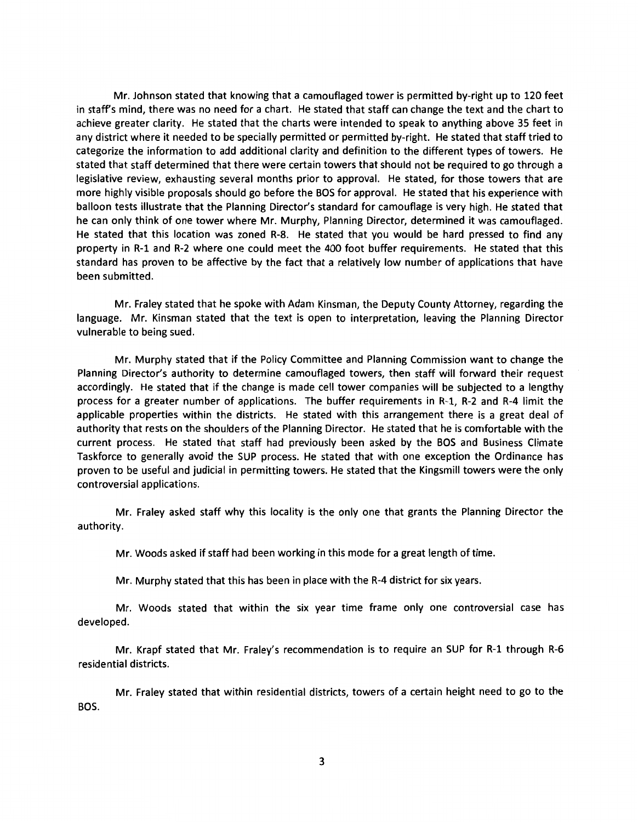Mr. Johnson stated that knowing that a camouflaged tower is permitted by-right up to 120 feet in staff's mind, there was no need for a chart. He stated that staff can change the text and the chart to achieve greater clarity. He stated that the charts were intended to speak to anything above 35 feet in any district where it needed to be specially permitted or permitted by-right. He stated that staff tried to categorize the information to add additional clarity and definition to the different types of towers. He stated that staff determined that there were certain towers that should not be required to go through a legislative review, exhausting several months prior to approval. He stated, for those towers that are more highly visible proposals should go before the BOS for approval. He stated that his experience with balloon tests illustrate that the Planning Director's standard for camouflage is very high. He stated that he can only think of one tower where Mr. Murphy, Planning Director, determined it was camouflaged. He stated that this location was zoned R-8. He stated that you would be hard pressed to find any property in R-1 and R-2 where one could meet the 400 foot buffer requirements. He stated that this standard has proven to be affective by the fact that a relatively low number of applications that have been submitted.

Mr. Fraley stated that he spoke with Adam Kinsman, the Deputy County Attorney, regarding the language. Mr. Kinsman stated that the text is open to interpretation, leaving the Planning Director vulnerable to being sued.

Mr. Murphy stated that if the Policy Committee and Planning Commission want to change the Planning Director's authority to determine camouflaged towers, then staff will forward their request accordingly. He stated that if the change is made cell tower companies will be subjected to a lengthy process for a greater number of applications. The buffer requirements in R-1, R-2 and R-4 limit the applicable properties within the districts. He stated with this arrangement there is a great deal of authority that rests on the shoulders of the Planning Director. He stated that he is comfortable with the current process. He stated that staff had previously been asked by the BOS and Business Climate Taskforce to generally avoid the SUP process. He stated that with one exception the Ordinance has proven to be useful and judicial in permitting towers. He stated that the Kingsmill towers were the only controversial applications.

Mr. Fraley asked staff why this locality is the only one that grants the Planning Director the authority.

Mr. Woods asked if staff had been working in this mode for a great length of time.

Mr. Murphy stated that this has been in place with the R-4 district for six years.

Mr. Woods stated that within the six year time frame only one controversial case has developed.

Mr. Krapf stated that Mr. Fraley's recommendation is to require an SUP for R-1 through R-6 residential districts.

Mr. Fraley stated that within residential districts, towers of a certain height need to go to the BOS.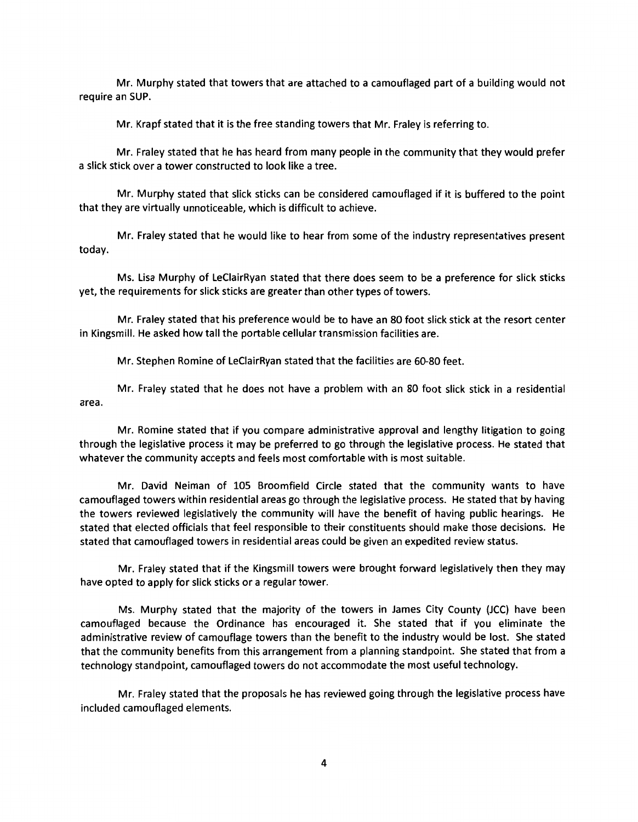Mr. Murphy stated that towers that are attached to a camouflaged part of a building would not require an SUP.

Mr. Krapf stated that it is the free standing towers that Mr. Fraley is referring to.

Mr. Fraley stated that he has heard from many people in the community that they would prefer a slick stick over a tower constructed to look like a tree.

Mr. Murphy stated that slick sticks can be considered camouflaged if it is buffered to the point that they are virtually unnoticeable, which is difficult to achieve.

Mr. Fraley stated that he would like to hear from some of the industry representatives present today.

Ms. Lisa Murphy of LeCiairRyan stated that there does seem to be a preference for slick sticks yet, the requirements for slick sticks are greater than other types of towers.

Mr. Fraley stated that his preference would be to have an 80 foot slick stick at the resort center in Kingsmill. He asked how tall the portable cellular transmission facilities are.

Mr. Stephen Romine of LeCiairRyan stated that the facilities are 60-80 feet.

Mr. Fraley stated that he does not have a problem with an 80 foot slick stick in a residential area.

Mr. Romine stated that if you compare administrative approval and lengthy litigation to going through the legislative process it may be preferred to go through the legislative process. He stated that whatever the community accepts and feels most comfortable with is most suitable.

Mr. David Neiman of 105 Broomfield Circle stated that the community wants to have camouflaged towers within residential areas go through the legislative process. He stated that by having the towers reviewed legislatively the community will have the benefit of having public hearings. He stated that elected officials that feel responsible to their constituents should make those decisions. He stated that camouflaged towers in residential areas could be given an expedited review status.

Mr. Fraley stated that if the Kingsmill towers were brought forward legislatively then they may have opted to apply for slick sticks or a regular tower.

Ms. Murphy stated that the majority of the towers in James City County {JCC) have been camouflaged because the Ordinance has encouraged it. She stated that if you eliminate the administrative review of camouflage towers than the benefit to the industry would be lost. She stated that the community benefits from this arrangement from a planning standpoint. She stated that from a technology standpoint, camouflaged towers do not accommodate the most useful technology.

Mr. Fraley stated that the proposals he has reviewed going through the legislative process have included camouflaged elements.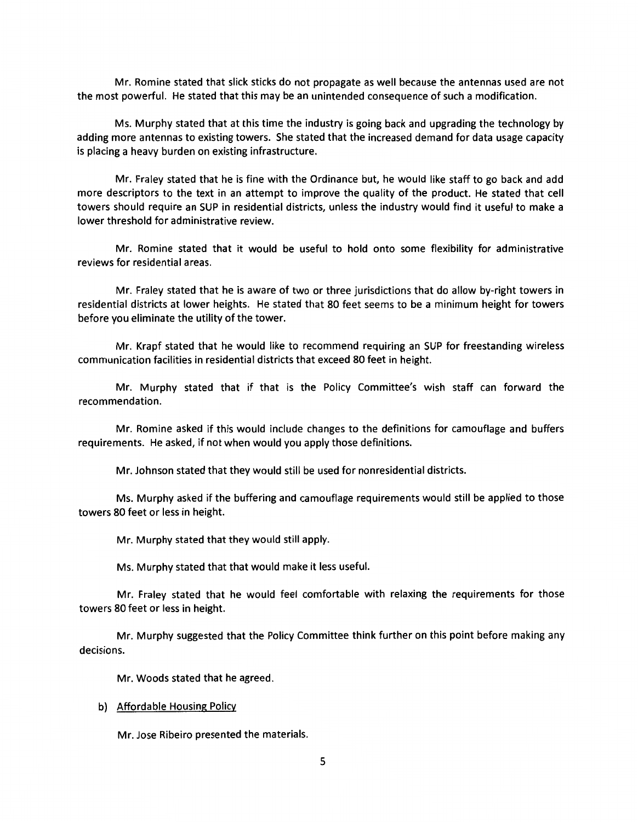Mr. Romine stated that slick sticks do not propagate as well because the antennas used are not the most powerful. He stated that this may be an unintended consequence of such a modification.

Ms. Murphy stated that at this time the industry is going back and upgrading the technology by adding more antennas to existing towers. She stated that the increased demand for data usage capacity is placing a heavy burden on existing infrastructure.

Mr. Fraley stated that he is fine with the Ordinance but, he would like staff to go back and add more descriptors to the text in an attempt to improve the quality of the product. He stated that cell towers should require an SUP in residential districts, unless the industry would find it useful to make a lower threshold for administrative review.

Mr. Romine stated that it would be useful to hold onto some flexibility for administrative reviews for residential areas.

Mr. Fraley stated that he is aware of two or three jurisdictions that do allow by-right towers in residential districts at lower heights. He stated that 80 feet seems to be a minimum height for towers before you eliminate the utility of the tower.

Mr. Krapf stated that he would like to recommend requiring an SUP for freestanding wireless communication facilities in residential districts that exceed 80 feet in height.

Mr. Murphy stated that if that is the Policy Committee's wish staff can forward the recommendation.

Mr. Romine asked if this would include changes to the definitions for camouflage and buffers requirements. He asked, if not when would you apply those definitions.

Mr. Johnson stated that they would still be used for nonresidential districts.

Ms. Murphy asked if the buffering and camouflage requirements would still be applied to those towers 80 feet or less in height.

Mr. Murphy stated that they would still apply.

Ms. Murphy stated that that would make it less useful.

Mr. Fraley stated that he would feel comfortable with relaxing the requirements for those towers 80 feet or less in height.

Mr. Murphy suggested that the Policy Committee think further on this point before making any decisions.

Mr. Woods stated that he agreed.

#### b) Affordable Housing Policy

Mr. Jose Ribeiro presented the materials.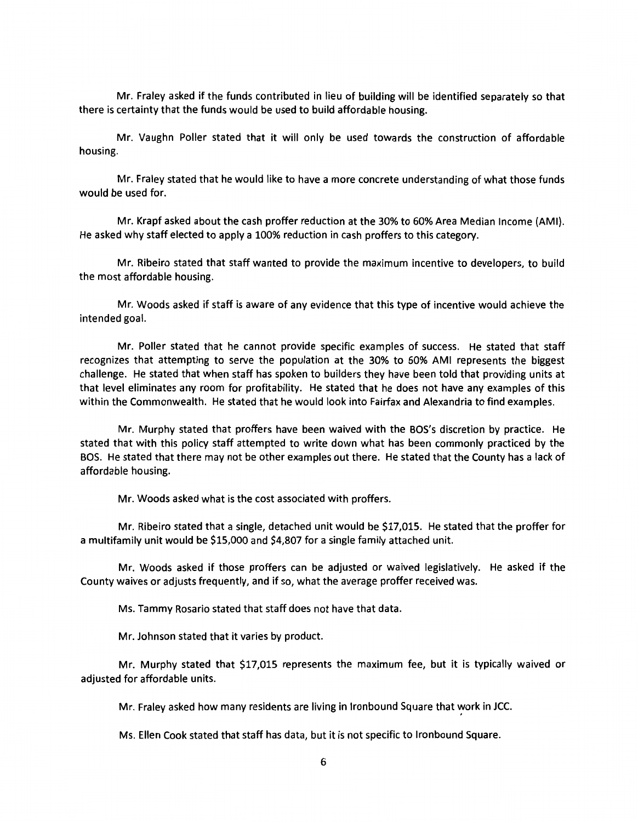Mr. Fraley asked if the funds contributed in lieu of building will be identified separately so that there is certainty that the funds would be used to build affordable housing.

Mr. Vaughn Poller stated that it will only be used towards the construction of affordable housing.

Mr. Fraley stated that he would like to have a more concrete understanding of what those funds would be used for.

Mr. Krapf asked about the cash proffer reduction at the 30% to 60% Area Median Income (AMI). He asked why staff elected to apply a 100% reduction in cash proffers to this category.

Mr. Ribeiro stated that staff wanted to provide the maximum incentive to developers, to build the most affordable housing.

Mr. Woods asked if staff is aware of any evidence that this type of incentive would achieve the intended goal.

Mr. Poller stated that he cannot provide specific examples of success. He stated that staff recognizes that attempting to serve the population at the 30% to 60% AMI represents the biggest challenge. He stated that when staff has spoken to builders they have been told that providing units at that level eliminates any room for profitability. He stated that he does not have any examples of this within the Commonwealth. He stated that he would look into Fairfax and Alexandria to find examples.

Mr. Murphy stated that proffers have been waived with the BOS's discretion by practice. He stated that with this policy staff attempted to write down what has been commonly practiced by the BOS. He stated that there may not be other examples out there. He stated that the County has a lack of affordable housing.

Mr. Woods asked what is the cost associated with proffers.

Mr. Ribeiro stated that a single, detached unit would be \$17,015. He stated that the proffer for a multifamily unit would be \$15,000 and \$4,807 for a single family attached unit.

Mr. Woods asked if those proffers can be adjusted or waived legislatively. He asked if the County waives or adjusts frequently, and if so, what the average proffer received was.

Ms. Tammy Rosario stated that staff does not have that data.

Mr. Johnson stated that it varies by product.

Mr. Murphy stated that \$17,015 represents the maximum fee, but it is typically waived or adjusted for affordable units.

Mr. Fraley asked how many residents are living in Ironbound Square that work in JCC.

Ms. Ellen Cook stated that staff has data, but it is not specific to Ironbound Square.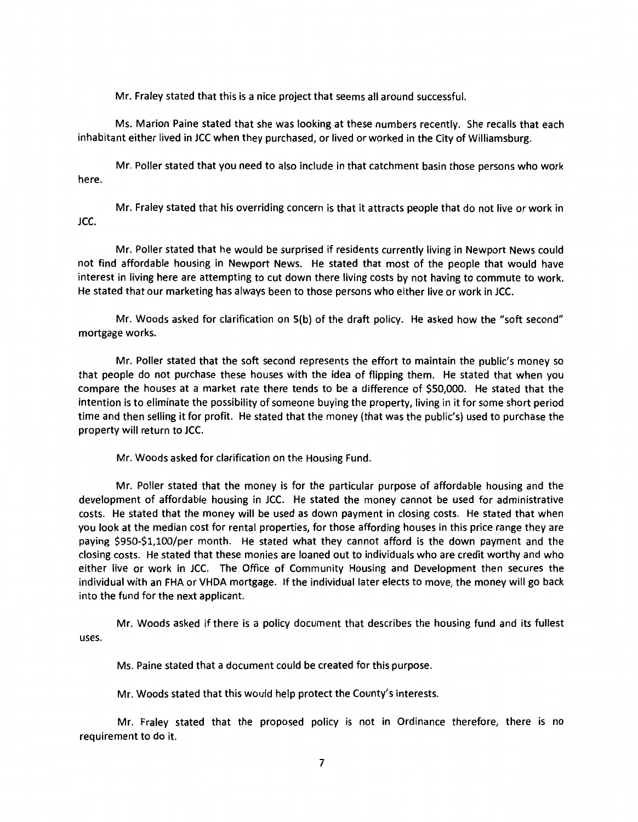Mr. Fraley stated that this is a nice project that seems all around successful.

Ms. Marion Paine stated that she was looking at these numbers recently. She recalls that each inhabitant either lived in JCC when they purchased, or lived or worked in the City of Williamsburg.

Mr. Poller stated that you need to also include in that catchment basin those persons who work here.

Mr. Fraley stated that his overriding concern is that it attracts people that do not live or work in JCC.

Mr. Poller stated that he would be surprised if residents currently living in Newport News could not find affordable housing in Newport News. He stated that most of the people that would have interest in living here are attempting to cut down there living costs by not having to commute to work. He stated that our marketing has always been to those persons who either live or work in JCC.

Mr. Woods asked for clarification on 5(b) of the draft policy. He asked how the "soft second" mortgage works.

Mr. Poller stated that the soft second represents the effort to maintain the public's money so that people do not purchase these houses with the idea of flipping them. He stated that when you compare the houses at a market rate there tends to be a difference of \$50,000. He stated that the intention is to eliminate the possibility of someone buying the property, living in it for some short period time and then selling it for profit. He stated that the money (that was the public's) used to purchase the property will return to JCC.

Mr. Woods asked for clarification on the Housing Fund.

Mr. Poller stated that the money is for the particular purpose of affordable housing and the development of affordable housing in JCC. He stated the money cannot be used for administrative costs. He stated that the money will be used as down payment in closing costs. He stated that when you look at the median cost for rental properties, for those affording houses in this price range they are paying \$950-\$1,100/per month. He stated what they cannot afford is the down payment and the closing costs. He stated that these monies are loaned out to individuals who are credit worthy and who either live or work in JCC. The Office of Community Housing and Development then secures the individual with an FHA or VHDA mortgage. If the individual later elects to move, the money will go back into the fund for the next applicant.

Mr. Woods asked if there is a policy document that describes the housing fund and its fullest uses.

Ms. Paine stated that a document could be created for this purpose.

Mr. Woods stated that this would help protect the County's interests.

Mr. Fraley stated that the proposed policy is not in Ordinance therefore, there is no requirement to do it.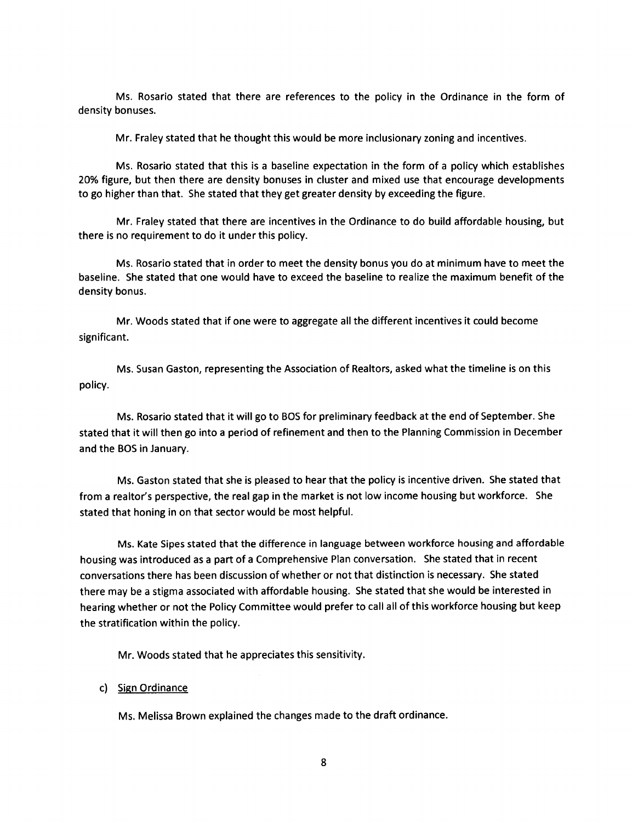Ms. Rosario stated that there are references to the policy in the Ordinance in the form of density bonuses.

Mr. Fraley stated that he thought this would be more inclusionary zoning and incentives.

Ms. Rosario stated that this is a baseline expectation in the form of a policy which establishes 20% figure, but then there are density bonuses in cluster and mixed use that encourage developments to go higher than that. She stated that they get greater density by exceeding the figure.

Mr. Fraley stated that there are incentives in the Ordinance to do build affordable housing, but there is no requirement to do it under this policy.

Ms. Rosario stated that in order to meet the density bonus you do at minimum have to meet the baseline. She stated that one would have to exceed the baseline to realize the maximum benefit of the density bonus.

Mr. Woods stated that if one were to aggregate all the different incentives it could become significant.

Ms. Susan Gaston, representing the Association of Realtors, asked what the timeline is on this policy.

Ms. Rosario stated that it will go to BOS for preliminary feedback at the end of September. She stated that it will then go into a period of refinement and then to the Planning Commission in December and the BOS in January.

Ms. Gaston stated that she is pleased to hear that the policy is incentive driven. She stated that from a realtor's perspective, the real gap in the market is not low income housing but workforce. She stated that honing in on that sector would be most helpful.

Ms. Kate Sipes stated that the difference in language between workforce housing and affordable housing was introduced as a part of a Comprehensive Plan conversation. She stated that in recent conversations there has been discussion of whether or not that distinction is necessary. She stated there may be a stigma associated with affordable housing. She stated that she would be interested in hearing whether or not the Policy Committee would prefer to call all of this workforce housing but keep the stratification within the policy.

Mr. Woods stated that he appreciates this sensitivity.

### c) Sign Ordinance

Ms. Melissa Brown explained the changes made to the draft ordinance.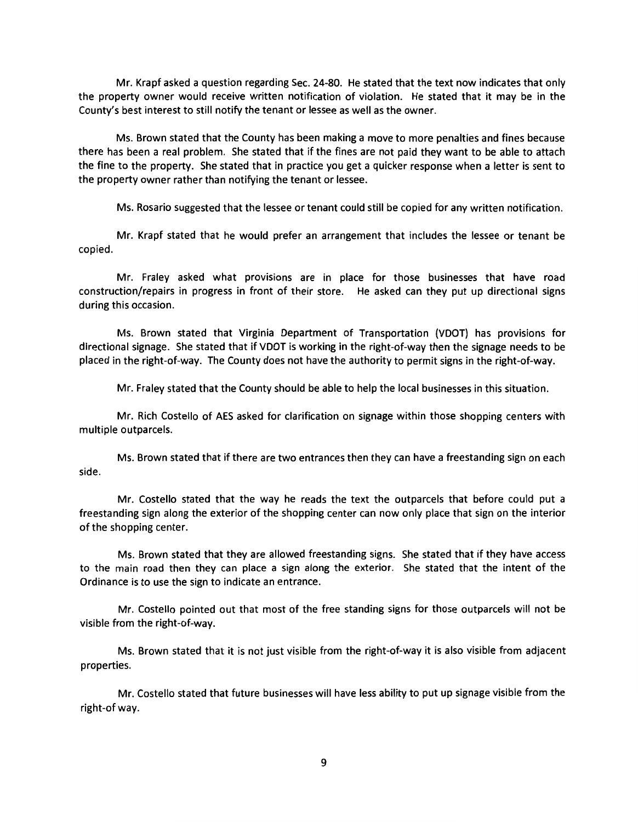Mr. Krapf asked a question regarding Sec. 24-80. He stated that the text now indicates that only the property owner would receive written notification of violation. He stated that it may be in the County's best interest to still notify the tenant or lessee as well as the owner.

Ms. Brown stated that the County has been making a move to more penalties and fines because there has been a real problem. She stated that if the fines are not paid they want to be able to attach the fine to the property. She stated that in practice you get a quicker response when a letter is sent to the property owner rather than notifying the tenant or lessee.

Ms. Rosario suggested that the lessee or tenant could still be copied for any written notification.

Mr. Krapf stated that he would prefer an arrangement that includes the lessee or tenant be copied.

Mr. Fraley asked what provisions are in place for those businesses that have road construction/repairs in progress in front of their store. He asked can they put up directional signs during this occasion.

Ms. Brown stated that Virginia Department of Transportation (VDOT) has provisions for directional signage. She stated that if VDOT is working in the right-of-way then the signage needs to be placed in the right-of-way. The County does not have the authority to permit signs in the right-of-way.

Mr. Fraley stated that the County should be able to help the local businesses in this situation.

Mr. Rich Costello of AES asked for clarification on signage within those shopping centers with multiple outparcels.

Ms. Brown stated that if there are two entrances then they can have a freestanding sign on each side.

Mr. Costello stated that the way he reads the text the outparcels that before could put a freestanding sign along the exterior of the shopping center can now only place that sign on the interior of the shopping center.

Ms. Brown stated that they are allowed freestanding signs. She stated that if they have access to the main road then they can place a sign along the exterior. She stated that the intent of the Ordinance is to use the sign to indicate an entrance.

Mr. Costello pointed out that most of the free standing signs for those outparcels will not be visible from the right-of-way.

Ms. Brown stated that it is not just visible from the right-of-way it is also visible from adjacent properties.

Mr. Costello stated that future businesses will have less ability to put up signage visible from the right-of way.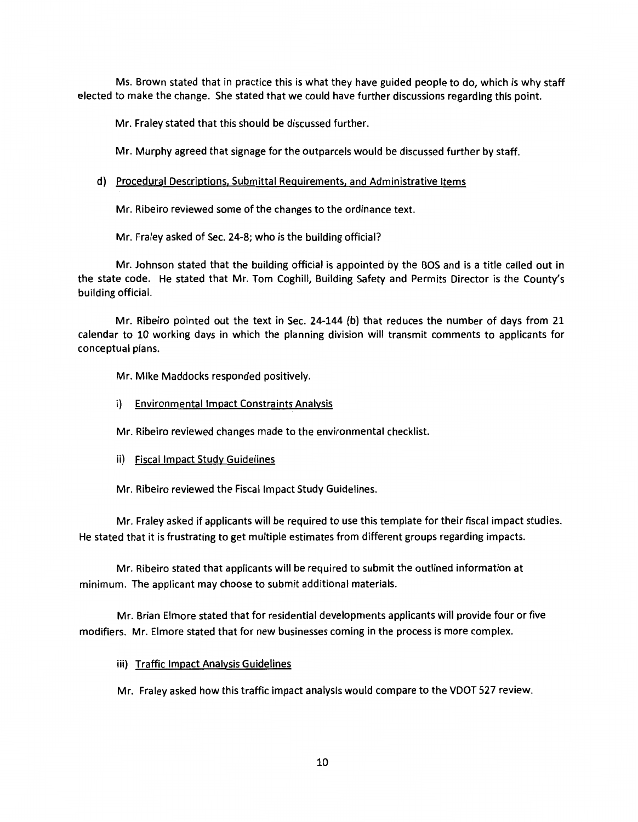Ms. Brown stated that in practice this is what they have guided people to do, which is why staff elected to make the change. She stated that we could have further discussions regarding this point.

Mr. Fraley stated that this should be discussed further.

Mr. Murphy agreed that signage for the outparcels would be discussed further by staff.

# d) Procedural Descriptions, Submittal Requirements, and Administrative Items

Mr. Ribeiro reviewed some of the changes to the ordinance text.

Mr. Fraley asked of Sec. 24-8; who is the building official?

Mr. Johnson stated that the building official is appointed by the BOS and is a title called out in the state code. He stated that Mr. Tom Coghill, Building Safety and Permits Director is the County's building official.

Mr. Ribeiro pointed out the text in Sec. 24-144 (b) that reduces the number of days from 21 calendar to 10 working days in which the planning division will transmit comments to applicants for conceptual plans.

Mr. Mike Maddocks responded positively.

i) Environmental Impact Constraints Analysis

Mr. Ribeiro reviewed changes made to the environmental checklist.

ii) Fiscal Impact Study Guidelines

Mr. Ribeiro reviewed the Fiscal Impact Study Guidelines.

Mr. Fraley asked if applicants will be required to use this template for their fiscal impact studies. He stated that it is frustrating to get multiple estimates from different groups regarding impacts.

Mr. Ribeiro stated that applicants will be required to submit the outlined information at minimum. The applicant may choose to submit additional materials.

Mr. Brian Elmore stated that for residential developments applicants will provide four or five modifiers. Mr. Elmore stated that for new businesses coming in the process is more complex.

iii) Traffic Impact Analysis Guidelines

Mr. Fraley asked how this traffic impact analysis would compare to the VDOT 527 review.